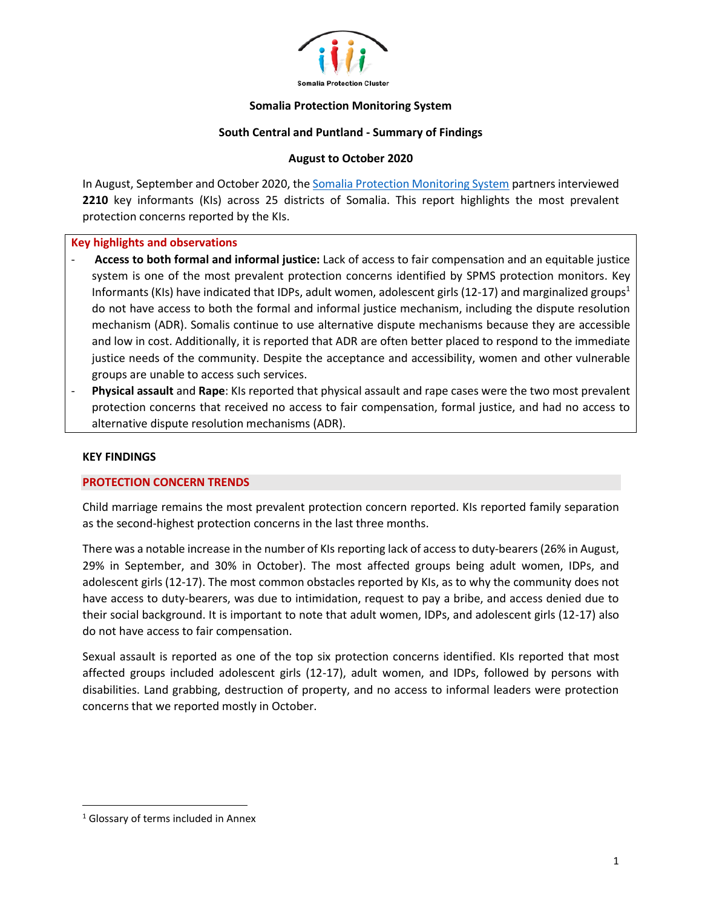

### **Somalia Protection Monitoring System**

## **South Central and Puntland - Summary of Findings**

## **August to October 2020**

In August, September and October 2020, th[e Somalia Protection Monitoring System](https://www.protection.drchub.org/) partners interviewed **2210** key informants (KIs) across 25 districts of Somalia. This report highlights the most prevalent protection concerns reported by the KIs.

### **Key highlights and observations**

- **Access to both formal and informal justice:** Lack of access to fair compensation and an equitable justice system is one of the most prevalent protection concerns identified by SPMS protection monitors. Key Informants (KIs) have indicated that IDPs, adult women, adolescent girls (12-17) and marginalized groups<sup>1</sup> do not have access to both the formal and informal justice mechanism, including the dispute resolution mechanism (ADR). Somalis continue to use alternative dispute mechanisms because they are accessible and low in cost. Additionally, it is reported that ADR are often better placed to respond to the immediate justice needs of the community. Despite the acceptance and accessibility, women and other vulnerable groups are unable to access such services.
- **Physical assault** and **Rape**: KIs reported that physical assault and rape cases were the two most prevalent protection concerns that received no access to fair compensation, formal justice, and had no access to alternative dispute resolution mechanisms (ADR).

### **KEY FINDINGS**

### **PROTECTION CONCERN TRENDS**

Child marriage remains the most prevalent protection concern reported. KIs reported family separation as the second-highest protection concerns in the last three months.

There was a notable increase in the number of KIs reporting lack of access to duty-bearers (26% in August, 29% in September, and 30% in October). The most affected groups being adult women, IDPs, and adolescent girls (12-17). The most common obstacles reported by KIs, as to why the community does not have access to duty-bearers, was due to intimidation, request to pay a bribe, and access denied due to their social background. It is important to note that adult women, IDPs, and adolescent girls (12-17) also do not have access to fair compensation.

Sexual assault is reported as one of the top six protection concerns identified. KIs reported that most affected groups included adolescent girls (12-17), adult women, and IDPs, followed by persons with disabilities. Land grabbing, destruction of property, and no access to informal leaders were protection concerns that we reported mostly in October.

<sup>&</sup>lt;sup>1</sup> Glossary of terms included in Annex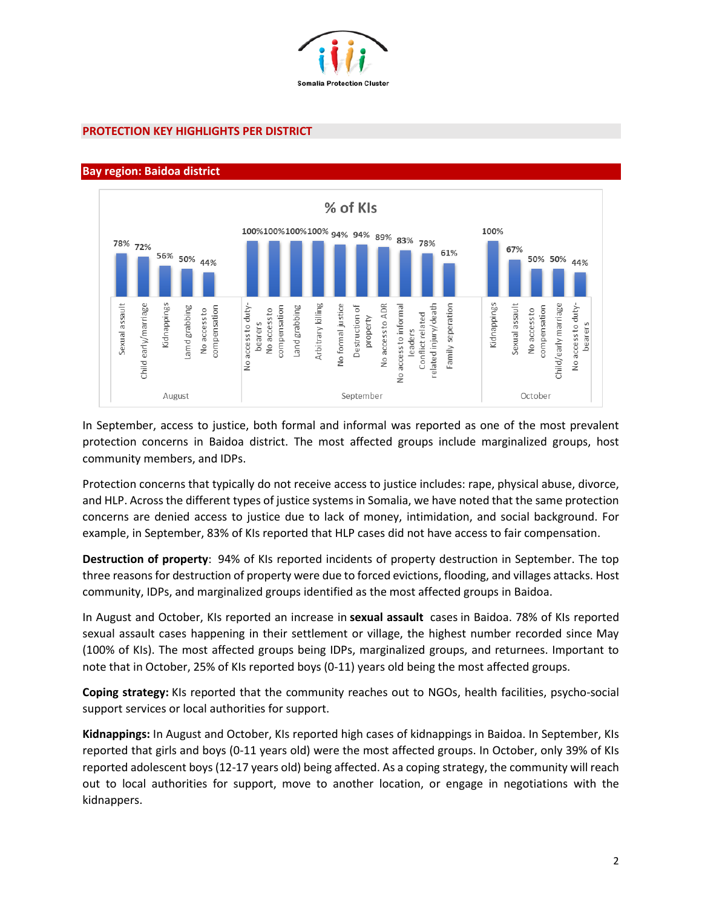

## **PROTECTION KEY HIGHLIGHTS PER DISTRICT**

### **Bay region: Baidoa district**



In September, access to justice, both formal and informal was reported as one of the most prevalent protection concerns in Baidoa district. The most affected groups include marginalized groups, host community members, and IDPs.

Protection concerns that typically do not receive access to justice includes: rape, physical abuse, divorce, and HLP. Across the different types of justice systems in Somalia, we have noted that the same protection concerns are denied access to justice due to lack of money, intimidation, and social background. For example, in September, 83% of KIs reported that HLP cases did not have access to fair compensation.

**Destruction of property**: 94% of KIs reported incidents of property destruction in September. The top three reasons for destruction of property were due to forced evictions, flooding, and villages attacks. Host community, IDPs, and marginalized groups identified as the most affected groups in Baidoa.

In August and October, KIs reported an increase in **sexual assault** cases in Baidoa. 78% of KIs reported sexual assault cases happening in their settlement or village, the highest number recorded since May (100% of KIs). The most affected groups being IDPs, marginalized groups, and returnees. Important to note that in October, 25% of KIs reported boys (0-11) years old being the most affected groups.

**Coping strategy:** KIs reported that the community reaches out to NGOs, health facilities, psycho-social support services or local authorities for support.

**Kidnappings:** In August and October, KIs reported high cases of kidnappings in Baidoa. In September, KIs reported that girls and boys (0-11 years old) were the most affected groups. In October, only 39% of KIs reported adolescent boys (12-17 years old) being affected. As a coping strategy, the community will reach out to local authorities for support, move to another location, or engage in negotiations with the kidnappers.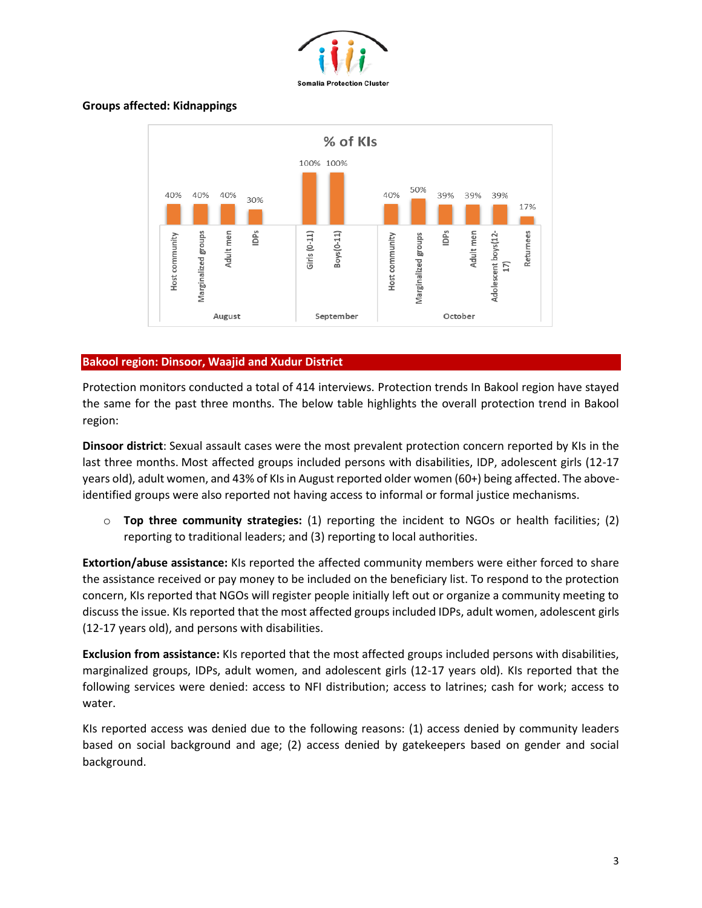

# **Groups affected: Kidnappings**



# **Bakool region: Dinsoor, Waajid and Xudur District**

Protection monitors conducted a total of 414 interviews. Protection trends In Bakool region have stayed the same for the past three months. The below table highlights the overall protection trend in Bakool region:

**Dinsoor district**: Sexual assault cases were the most prevalent protection concern reported by KIs in the last three months. Most affected groups included persons with disabilities, IDP, adolescent girls (12-17 years old), adult women, and 43% of KIs in August reported older women (60+) being affected. The aboveidentified groups were also reported not having access to informal or formal justice mechanisms.

o **Top three community strategies:** (1) reporting the incident to NGOs or health facilities; (2) reporting to traditional leaders; and (3) reporting to local authorities.

**Extortion/abuse assistance:** KIs reported the affected community members were either forced to share the assistance received or pay money to be included on the beneficiary list. To respond to the protection concern, KIs reported that NGOs will register people initially left out or organize a community meeting to discuss the issue. KIs reported that the most affected groups included IDPs, adult women, adolescent girls (12-17 years old), and persons with disabilities.

**Exclusion from assistance:** KIs reported that the most affected groups included persons with disabilities, marginalized groups, IDPs, adult women, and adolescent girls (12-17 years old). KIs reported that the following services were denied: access to NFI distribution; access to latrines; cash for work; access to water.

KIs reported access was denied due to the following reasons: (1) access denied by community leaders based on social background and age; (2) access denied by gatekeepers based on gender and social background.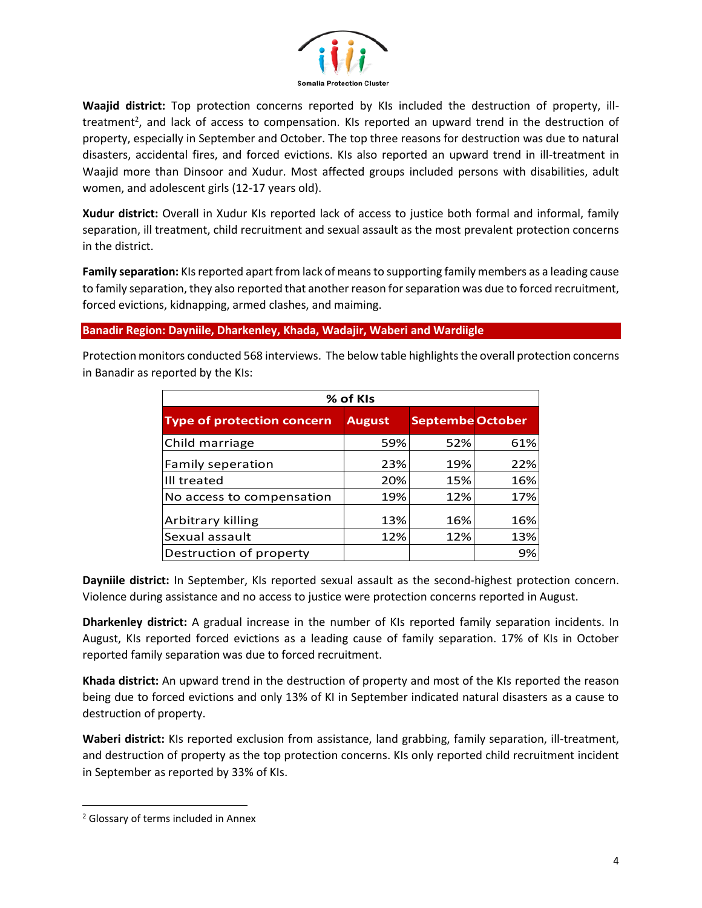

**Waajid district:** Top protection concerns reported by KIs included the destruction of property, illtreatment<sup>2</sup>, and lack of access to compensation. KIs reported an upward trend in the destruction of property, especially in September and October. The top three reasons for destruction was due to natural disasters, accidental fires, and forced evictions. KIs also reported an upward trend in ill-treatment in Waajid more than Dinsoor and Xudur. Most affected groups included persons with disabilities, adult women, and adolescent girls (12-17 years old).

**Xudur district:** Overall in Xudur KIs reported lack of access to justice both formal and informal, family separation, ill treatment, child recruitment and sexual assault as the most prevalent protection concerns in the district.

**Family separation:** KIs reported apart from lack of means to supporting family members as a leading cause to family separation, they also reported that another reason for separation was due to forced recruitment, forced evictions, kidnapping, armed clashes, and maiming.

**Banadir Region: Dayniile, Dharkenley, Khada, Wadajir, Waberi and Wardiigle**

Protection monitors conducted 568 interviews. The below table highlights the overall protection concerns in Banadir as reported by the KIs:

| % of KIs                          |               |                         |     |
|-----------------------------------|---------------|-------------------------|-----|
| <b>Type of protection concern</b> | <b>August</b> | <b>Septembe October</b> |     |
| Child marriage                    | 59%           | 52%                     | 61% |
| Family seperation                 | 23%           | 19%                     | 22% |
| III treated                       | 20%           | 15%                     | 16% |
| No access to compensation         | 19%           | 12%                     | 17% |
| <b>Arbitrary killing</b>          | 13%           | 16%                     | 16% |
| Sexual assault                    | 12%           | 12%                     | 13% |
| Destruction of property           |               |                         | 9%  |

**Dayniile district:** In September, KIs reported sexual assault as the second-highest protection concern. Violence during assistance and no access to justice were protection concerns reported in August.

**Dharkenley district:** A gradual increase in the number of KIs reported family separation incidents. In August, KIs reported forced evictions as a leading cause of family separation. 17% of KIs in October reported family separation was due to forced recruitment.

**Khada district:** An upward trend in the destruction of property and most of the KIs reported the reason being due to forced evictions and only 13% of KI in September indicated natural disasters as a cause to destruction of property.

**Waberi district:** KIs reported exclusion from assistance, land grabbing, family separation, ill-treatment, and destruction of property as the top protection concerns. KIs only reported child recruitment incident in September as reported by 33% of KIs.

<sup>&</sup>lt;sup>2</sup> Glossary of terms included in Annex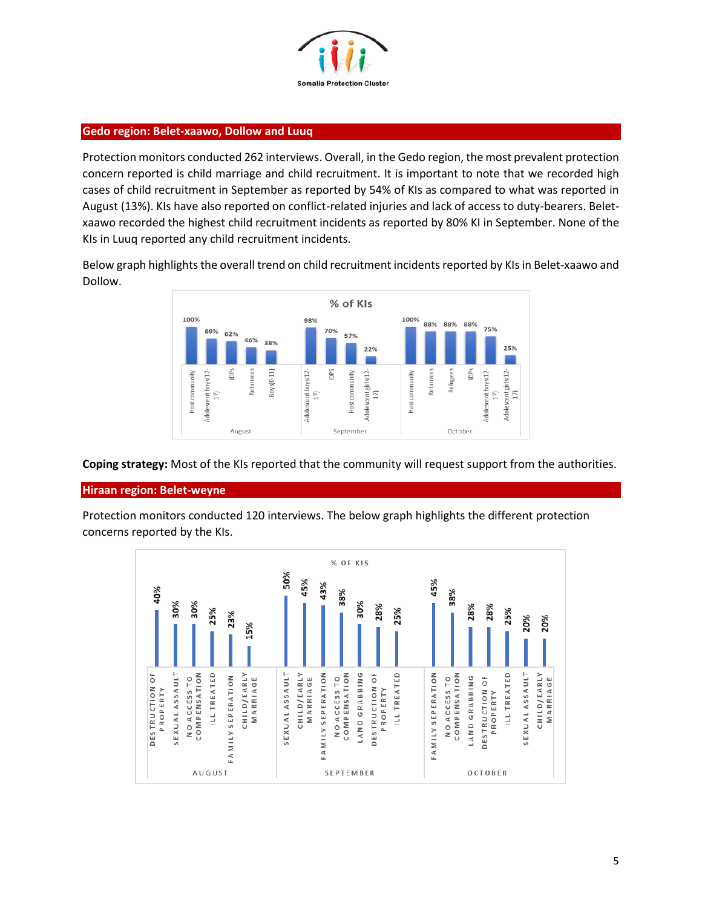

# **Gedo region: Belet-xaawo, Dollow and Luuq**

Protection monitors conducted 262 interviews. Overall, in the Gedo region, the most prevalent protection concern reported is child marriage and child recruitment. It is important to note that we recorded high cases of child recruitment in September as reported by 54% of KIs as compared to what was reported in August (13%). KIs have also reported on conflict-related injuries and lack of access to duty-bearers. Beletxaawo recorded the highest child recruitment incidents as reported by 80% KI in September. None of the KIs in Luuq reported any child recruitment incidents.

Below graph highlights the overall trend on child recruitment incidents reported by KIs in Belet-xaawo and Dollow.



**Coping strategy:** Most of the KIs reported that the community will request support from the authorities.

### **Hiraan region: Belet-weyne**

Protection monitors conducted 120 interviews. The below graph highlights the different protection concerns reported by the KIs.

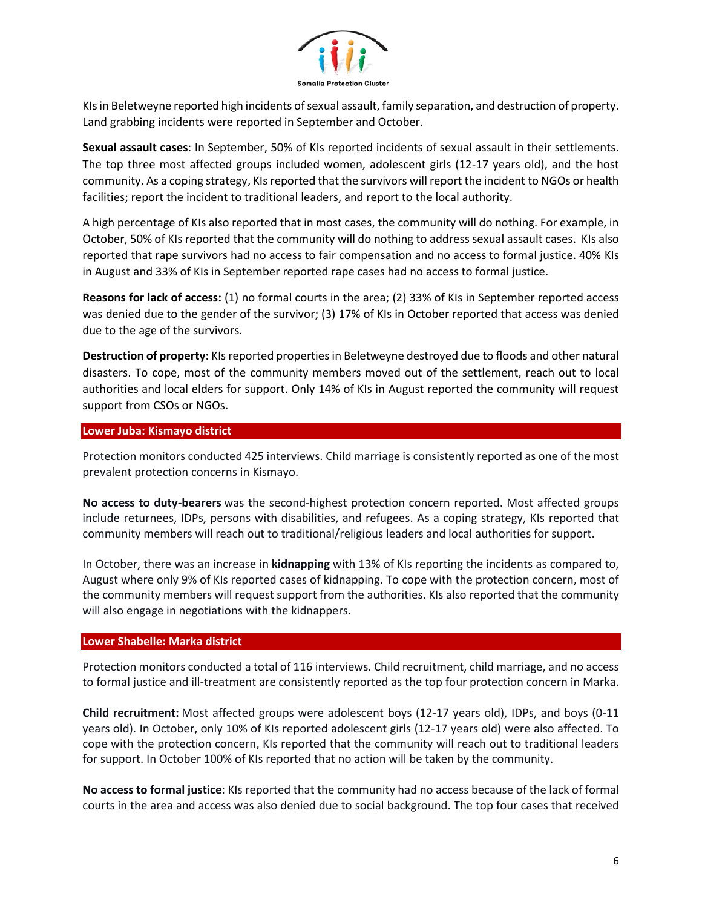

KIs in Beletweyne reported high incidents of sexual assault, family separation, and destruction of property. Land grabbing incidents were reported in September and October.

**Sexual assault cases**: In September, 50% of KIs reported incidents of sexual assault in their settlements. The top three most affected groups included women, adolescent girls (12-17 years old), and the host community. As a coping strategy, KIs reported that the survivors will report the incident to NGOs or health facilities; report the incident to traditional leaders, and report to the local authority.

A high percentage of KIs also reported that in most cases, the community will do nothing. For example, in October, 50% of KIs reported that the community will do nothing to address sexual assault cases. KIs also reported that rape survivors had no access to fair compensation and no access to formal justice. 40% KIs in August and 33% of KIs in September reported rape cases had no access to formal justice.

**Reasons for lack of access:** (1) no formal courts in the area; (2) 33% of KIs in September reported access was denied due to the gender of the survivor; (3) 17% of KIs in October reported that access was denied due to the age of the survivors.

**Destruction of property:** KIs reported properties in Beletweyne destroyed due to floods and other natural disasters. To cope, most of the community members moved out of the settlement, reach out to local authorities and local elders for support. Only 14% of KIs in August reported the community will request support from CSOs or NGOs.

### **Lower Juba: Kismayo district**

Protection monitors conducted 425 interviews. Child marriage is consistently reported as one of the most prevalent protection concerns in Kismayo.

**No access to duty-bearers** was the second-highest protection concern reported. Most affected groups include returnees, IDPs, persons with disabilities, and refugees. As a coping strategy, KIs reported that community members will reach out to traditional/religious leaders and local authorities for support.

In October, there was an increase in **kidnapping** with 13% of KIs reporting the incidents as compared to, August where only 9% of KIs reported cases of kidnapping. To cope with the protection concern, most of the community members will request support from the authorities. KIs also reported that the community will also engage in negotiations with the kidnappers.

### **Lower Shabelle: Marka district**

Protection monitors conducted a total of 116 interviews. Child recruitment, child marriage, and no access to formal justice and ill-treatment are consistently reported as the top four protection concern in Marka.

**Child recruitment:** Most affected groups were adolescent boys (12-17 years old), IDPs, and boys (0-11 years old). In October, only 10% of KIs reported adolescent girls (12-17 years old) were also affected. To cope with the protection concern, KIs reported that the community will reach out to traditional leaders for support. In October 100% of KIs reported that no action will be taken by the community.

**No access to formal justice**: KIs reported that the community had no access because of the lack of formal courts in the area and access was also denied due to social background. The top four cases that received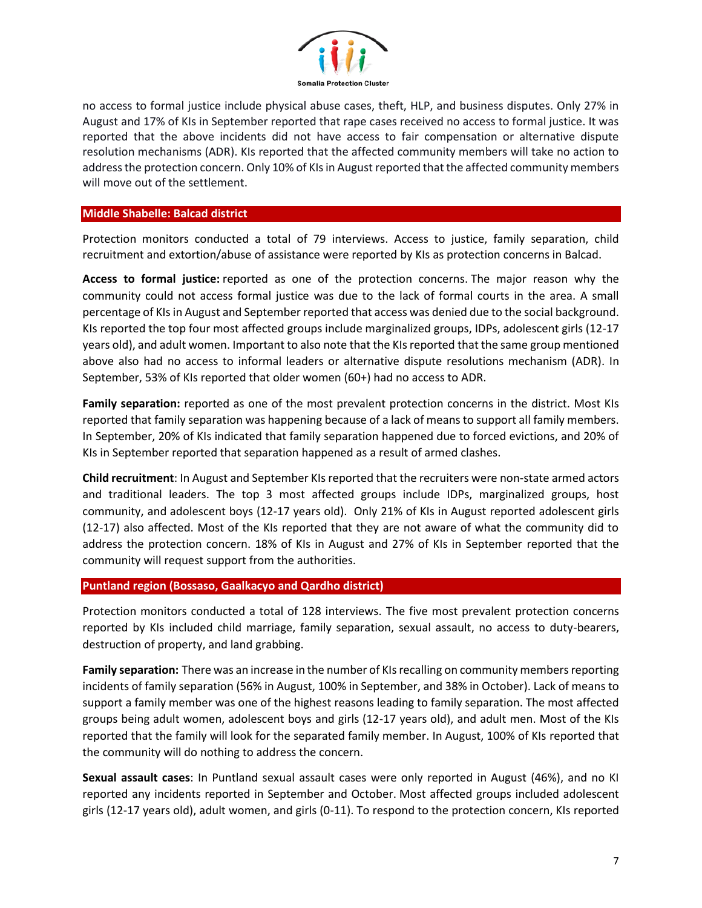

no access to formal justice include physical abuse cases, theft, HLP, and business disputes. Only 27% in August and 17% of KIs in September reported that rape cases received no access to formal justice. It was reported that the above incidents did not have access to fair compensation or alternative dispute resolution mechanisms (ADR). KIs reported that the affected community members will take no action to address the protection concern. Only 10% of KIs in August reported that the affected community members will move out of the settlement.

### **Middle Shabelle: Balcad district**

Protection monitors conducted a total of 79 interviews. Access to justice, family separation, child recruitment and extortion/abuse of assistance were reported by KIs as protection concerns in Balcad.

**Access to formal justice:** reported as one of the protection concerns. The major reason why the community could not access formal justice was due to the lack of formal courts in the area. A small percentage of KIs in August and September reported that access was denied due to the social background. KIs reported the top four most affected groups include marginalized groups, IDPs, adolescent girls (12-17 years old), and adult women. Important to also note that the KIs reported that the same group mentioned above also had no access to informal leaders or alternative dispute resolutions mechanism (ADR). In September, 53% of KIs reported that older women (60+) had no access to ADR.

**Family separation:** reported as one of the most prevalent protection concerns in the district. Most KIs reported that family separation was happening because of a lack of means to support all family members. In September, 20% of KIs indicated that family separation happened due to forced evictions, and 20% of KIs in September reported that separation happened as a result of armed clashes.

**Child recruitment**: In August and September KIs reported that the recruiters were non-state armed actors and traditional leaders. The top 3 most affected groups include IDPs, marginalized groups, host community, and adolescent boys (12-17 years old). Only 21% of KIs in August reported adolescent girls (12-17) also affected. Most of the KIs reported that they are not aware of what the community did to address the protection concern. 18% of KIs in August and 27% of KIs in September reported that the community will request support from the authorities.

# **Puntland region (Bossaso, Gaalkacyo and Qardho district)**

Protection monitors conducted a total of 128 interviews. The five most prevalent protection concerns reported by KIs included child marriage, family separation, sexual assault, no access to duty-bearers, destruction of property, and land grabbing.

**Family separation:** There was an increase in the number of KIs recalling on community members reporting incidents of family separation (56% in August, 100% in September, and 38% in October). Lack of means to support a family member was one of the highest reasons leading to family separation. The most affected groups being adult women, adolescent boys and girls (12-17 years old), and adult men. Most of the KIs reported that the family will look for the separated family member. In August, 100% of KIs reported that the community will do nothing to address the concern.

**Sexual assault cases**: In Puntland sexual assault cases were only reported in August (46%), and no KI reported any incidents reported in September and October. Most affected groups included adolescent girls (12-17 years old), adult women, and girls (0-11). To respond to the protection concern, KIs reported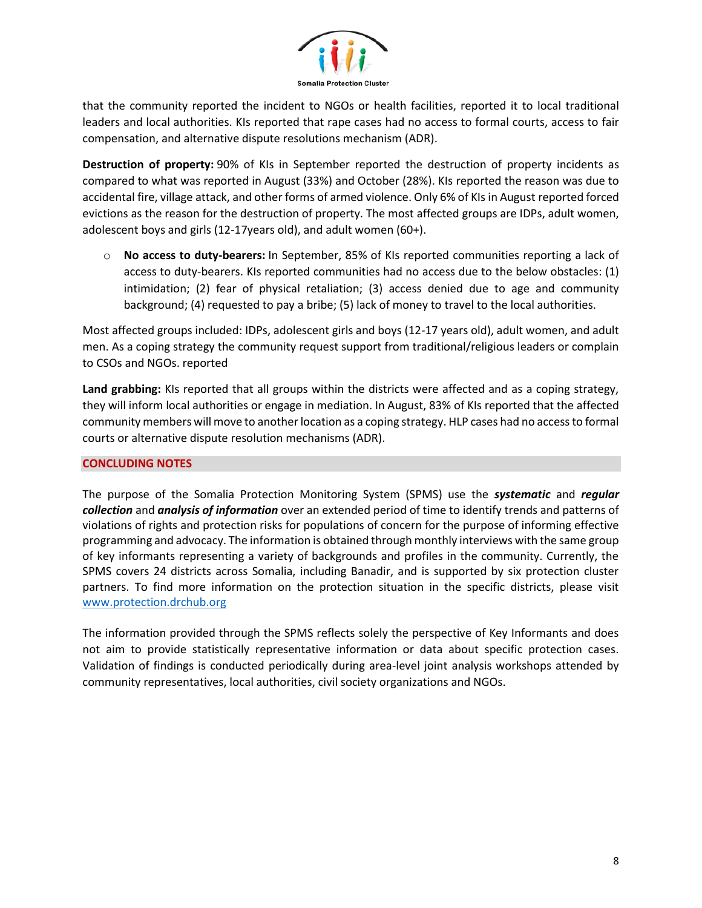

that the community reported the incident to NGOs or health facilities, reported it to local traditional leaders and local authorities. KIs reported that rape cases had no access to formal courts, access to fair compensation, and alternative dispute resolutions mechanism (ADR).

**Destruction of property:** 90% of KIs in September reported the destruction of property incidents as compared to what was reported in August (33%) and October (28%). KIs reported the reason was due to accidental fire, village attack, and other forms of armed violence. Only 6% of KIs in August reported forced evictions as the reason for the destruction of property. The most affected groups are IDPs, adult women, adolescent boys and girls (12-17years old), and adult women (60+).

o **No access to duty-bearers:** In September, 85% of KIs reported communities reporting a lack of access to duty-bearers. KIs reported communities had no access due to the below obstacles: (1) intimidation; (2) fear of physical retaliation; (3) access denied due to age and community background; (4) requested to pay a bribe; (5) lack of money to travel to the local authorities.

Most affected groups included: IDPs, adolescent girls and boys (12-17 years old), adult women, and adult men. As a coping strategy the community request support from traditional/religious leaders or complain to CSOs and NGOs. reported

**Land grabbing:** KIs reported that all groups within the districts were affected and as a coping strategy, they will inform local authorities or engage in mediation. In August, 83% of KIs reported that the affected community members will move to another location as a coping strategy. HLP cases had no access to formal courts or alternative dispute resolution mechanisms (ADR).

# **CONCLUDING NOTES**

The purpose of the Somalia Protection Monitoring System (SPMS) use the *systematic* and *regular collection* and *analysis of information* over an extended period of time to identify trends and patterns of violations of rights and protection risks for populations of concern for the purpose of informing effective programming and advocacy. The information is obtained through monthly interviews with the same group of key informants representing a variety of backgrounds and profiles in the community. Currently, the SPMS covers 24 districts across Somalia, including Banadir, and is supported by six protection cluster partners. To find more information on the protection situation in the specific districts, please visit [www.protection.drchub.org](http://www.protection.drchub.org/)

The information provided through the SPMS reflects solely the perspective of Key Informants and does not aim to provide statistically representative information or data about specific protection cases. Validation of findings is conducted periodically during area-level joint analysis workshops attended by community representatives, local authorities, civil society organizations and NGOs.